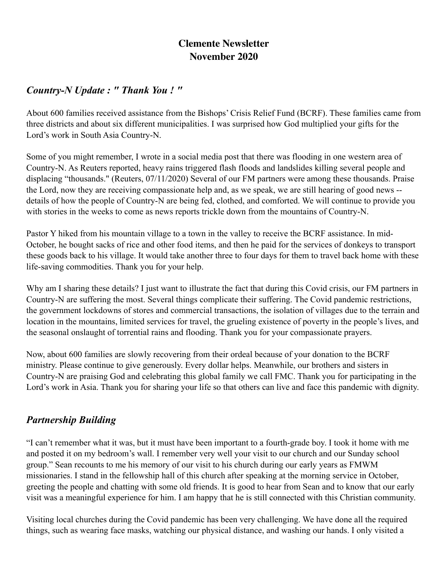# **Clemente Newsletter November 2020**

#### *Country-N Update : " Thank You ! "*

About 600 families received assistance from the Bishops' Crisis Relief Fund (BCRF). These families came from three districts and about six different municipalities. I was surprised how God multiplied your gifts for the Lord's work in South Asia Country-N.

Some of you might remember, I wrote in a social media post that there was flooding in one western area of Country-N. As Reuters reported, heavy rains triggered flash floods and landslides killing several people and displacing "thousands." (Reuters, 07/11/2020) Several of our FM partners were among these thousands. Praise the Lord, now they are receiving compassionate help and, as we speak, we are still hearing of good news - details of how the people of Country-N are being fed, clothed, and comforted. We will continue to provide you with stories in the weeks to come as news reports trickle down from the mountains of Country-N.

Pastor Y hiked from his mountain village to a town in the valley to receive the BCRF assistance. In mid-October, he bought sacks of rice and other food items, and then he paid for the services of donkeys to transport these goods back to his village. It would take another three to four days for them to travel back home with these life-saving commodities. Thank you for your help.

Why am I sharing these details? I just want to illustrate the fact that during this Covid crisis, our FM partners in Country-N are suffering the most. Several things complicate their suffering. The Covid pandemic restrictions, the government lockdowns of stores and commercial transactions, the isolation of villages due to the terrain and location in the mountains, limited services for travel, the grueling existence of poverty in the people's lives, and the seasonal onslaught of torrential rains and flooding. Thank you for your compassionate prayers.

Now, about 600 families are slowly recovering from their ordeal because of your donation to the BCRF ministry. Please continue to give generously. Every dollar helps. Meanwhile, our brothers and sisters in Country-N are praising God and celebrating this global family we call FMC. Thank you for participating in the Lord's work in Asia. Thank you for sharing your life so that others can live and face this pandemic with dignity.

## *Partnership Building*

"I can't remember what it was, but it must have been important to a fourth-grade boy. I took it home with me and posted it on my bedroom's wall. I remember very well your visit to our church and our Sunday school group." Sean recounts to me his memory of our visit to his church during our early years as FMWM missionaries. I stand in the fellowship hall of this church after speaking at the morning service in October, greeting the people and chatting with some old friends. It is good to hear from Sean and to know that our early visit was a meaningful experience for him. I am happy that he is still connected with this Christian community.

Visiting local churches during the Covid pandemic has been very challenging. We have done all the required things, such as wearing face masks, watching our physical distance, and washing our hands. I only visited a